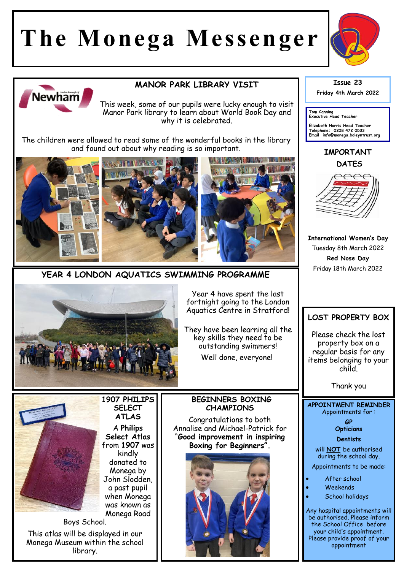# **The Monega Messenger**





## **MANOR PARK LIBRARY VISIT**

This week, some of our pupils were lucky enough to visit Manor Park library to learn about World Book Day and why it is celebrated.

The children were allowed to read some of the wonderful books in the library and found out about why reading is so important.





Year 4 have spent the last fortnight going to the London Aquatics Centre in Stratford!

They have been learning all the key skills they need to be outstanding swimmers! Well done, everyone!

#### **BEGINNERS BOXING CHAMPIONS**

Congratulations to both Annalise and Michael-Patrick for "**Good improvement in inspiring Boxing for Beginners".** 



#### **Issue 23 Friday 4th March 2022**

**Tom Canning Executive Head Teacher**

**Elizabeth Harris Head Teacher Telephone: 0208 472 0533 Email info@monega.boleyntrust.org** 

**IMPORTANT DATES**



**International Women's Day** Tuesday 8th March 2022 **Red Nose Day**  Friday 18th March 2022

# **LOST PROPERTY BOX**

Please check the lost property box on a regular basis for any items belonging to your child.

Thank you

**APPOINTMENT REMINDER** Appointments for :

> **GP Opticians**

**Dentists** 

will **NOT** be authorised during the school day.

Appointments to be made:

- After school
- Weekends
- School holidays

Any hospital appointments will be authorised. Please inform the School Office before your child's appointment. Please provide proof of your appointment



Boys School. This atlas will be displayed in our Monega Museum within the school library.